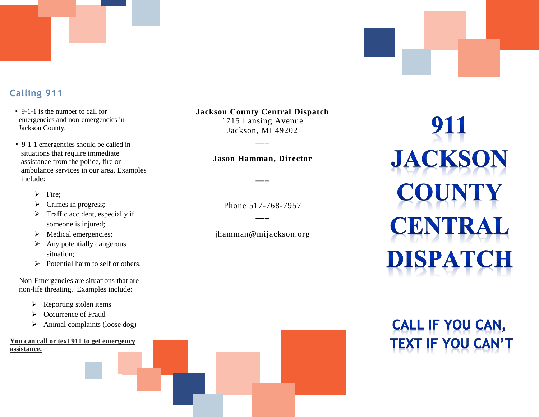#### **Calling 911**

- 9-1-1 is the number to call for emergencies and non-emergencies in Jackson County.
- 9-1-1 emergencies should be called in situations that require immediate assistance from the police, fire or ambulance services in our area. Examples include:
	- $\triangleright$  Fire;
	- $\triangleright$  Crimes in progress;
	- $\triangleright$  Traffic accident, especially if someone is injured;
	- $\triangleright$  Medical emergencies;
	- $\triangleright$  Any potentially dangerous situation;
	- $\triangleright$  Potential harm to self or others.

Non-Emergencies are situations that are non-life threating. Examples include:

- $\triangleright$  Reporting stolen items
- ▶ Occurrence of Fraud
- $\triangleright$  Animal complaints (loose dog)

#### **You can call or text 911 to get emergency assistance.**

**Jackson County Central Dispatch**

1715 Lansing Avenue Jackson, MI 49202

#### **Jason Hamman, Director**

**\_\_\_**

**\_\_\_**

Phone 517-768-7957 **\_\_\_**

jhamman@mijackson.org

## 911 **JACKSON** UNTY **CENTRAL DISPATCH**

# **CALL IF YOU CAN,**